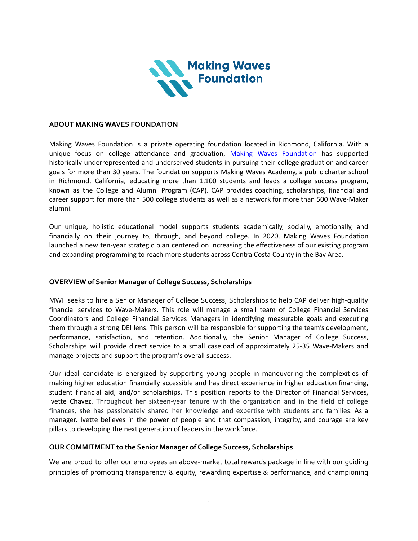

#### **ABOUT MAKING WAVES FOUNDATION**

Making Waves Foundation is a private operating foundation located in Richmond, California. With a unique focus on college attendance and graduation, Making Waves [Foundation](https://making-waves.org/) has supported historically underrepresented and underserved students in pursuing their college graduation and career goals for more than 30 years. The foundation supports Making Waves Academy, a public charter school in Richmond, California, educating more than 1,100 students and leads a college success program, known as the College and Alumni Program (CAP). CAP provides coaching, scholarships, financial and career support for more than 500 college students as well as a network for more than 500 Wave-Maker alumni.

Our unique, holistic educational model supports students academically, socially, emotionally, and financially on their journey to, through, and beyond college. In 2020, Making Waves Foundation launched a new ten-year strategic plan centered on increasing the effectiveness of our existing program and expanding programming to reach more students across Contra Costa County in the Bay Area.

#### **OVERVIEW of Senior Manager of College Success, Scholarships**

MWF seeks to hire a Senior Manager of College Success, Scholarships to help CAP deliver high-quality financial services to Wave-Makers. This role will manage a small team of College Financial Services Coordinators and College Financial Services Managers in identifying measurable goals and executing them through a strong DEI lens. This person will be responsible for supporting the team's development, performance, satisfaction, and retention. Additionally, the Senior Manager of College Success, Scholarships will provide direct service to a small caseload of approximately 25-35 Wave-Makers and manage projects and support the program's overall success.

Our ideal candidate is energized by supporting young people in maneuvering the complexities of making higher education financially accessible and has direct experience in higher education financing, student financial aid, and/or scholarships. This position reports to the Director of Financial Services, Ivette Chavez. Throughout her sixteen-year tenure with the organization and in the field of college finances, she has passionately shared her knowledge and expertise with students and families. As a manager, Ivette believes in the power of people and that compassion, integrity, and courage are key pillars to developing the next generation of leaders in the workforce.

#### **OUR COMMITMENT to the Senior Manager of College Success, Scholarships**

We are proud to offer our employees an above-market total rewards package in line with our guiding principles of promoting transparency & equity, rewarding expertise & performance, and championing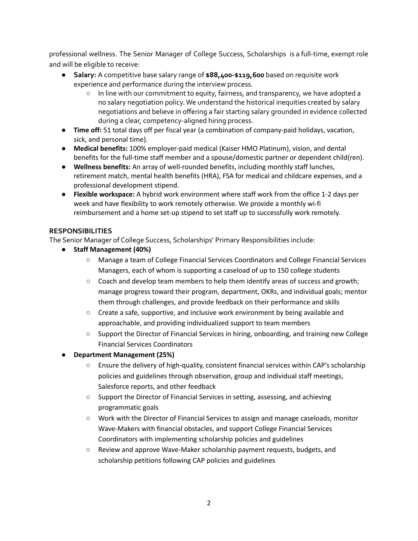professional wellness. The Senior Manager of College Success, Scholarships is a full-time, exempt role and will be eligible to receive:

- **Salary:** A competitive base salary range of **\$88,400-\$119,600** based on requisite work experience and performance during the interview process.
	- In line with our commitment to equity, fairness, and transparency, we have adopted a no salary negotiation policy.We understand the historical inequities created by salary negotiations and believe in offering a fair starting salary grounded in evidence collected during a clear, competency-aligned hiring process.
- **Time off:** 51 total days off per fiscal year (a combination of company-paid holidays, vacation, sick, and personal time).
- **Medical benefits:** 100% employer-paid medical (Kaiser HMO Platinum), vision, and dental benefits for the full-time staff member and a spouse/domestic partner or dependent child(ren).
- **Wellness benefits:** An array of well-rounded benefits, including monthly staff lunches, retirement match, mental health benefits (HRA), FSA for medical and childcare expenses, and a professional development stipend.
- **Flexible workspace:** A hybrid work environment where staff work from the office 1-2 days per week and have flexibility to work remotely otherwise. We provide a monthly wi-fi reimbursement and a home set-up stipend to set staff up to successfully work remotely.

### **RESPONSIBILITIES**

The Senior Manager of College Success, Scholarships' Primary Responsibilities include:

- **● Staff Management (40%)**
	- **○** Manage a team of College Financial Services Coordinators and College Financial Services Managers, each of whom is supporting a caseload of up to 150 college students
	- **○** Coach and develop team members to help them identify areas of success and growth; manage progress toward their program, department, OKRs, and individual goals; mentor them through challenges, and provide feedback on their performance and skills
	- **○** Create a safe, supportive, and inclusive work environment by being available and approachable, and providing individualized support to team members
	- **○** Support the Director of Financial Services in hiring, onboarding, and training new College Financial Services Coordinators
- **● Department Management (25%)**
	- **○** Ensure the delivery of high-quality, consistent financial services within CAP's scholarship policies and guidelines through observation, group and individual staff meetings, Salesforce reports, and other feedback
	- **○** Support the Director of Financial Services in setting, assessing, and achieving programmatic goals
	- **○** Work with the Director of Financial Services to assign and manage caseloads, monitor Wave-Makers with financial obstacles, and support College Financial Services Coordinators with implementing scholarship policies and guidelines
	- **○** Review and approve Wave-Maker scholarship payment requests, budgets, and scholarship petitions following CAP policies and guidelines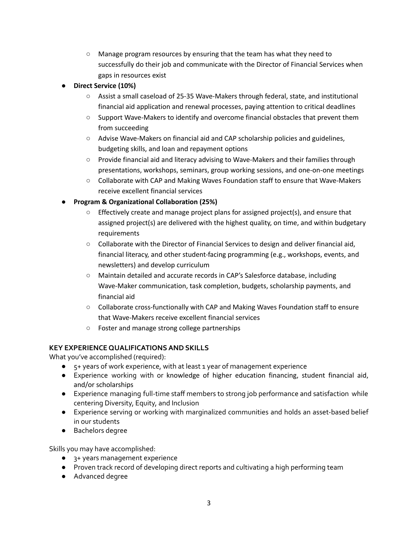**○** Manage program resources by ensuring that the team has what they need to successfully do their job and communicate with the Director of Financial Services when gaps in resources exist

### **● Direct Service (10%)**

- **○** Assist a small caseload of 25-35 Wave-Makers through federal, state, and institutional financial aid application and renewal processes, paying attention to critical deadlines
- **○** Support Wave-Makers to identify and overcome financial obstacles that prevent them from succeeding
- **○** Advise Wave-Makers on financial aid and CAP scholarship policies and guidelines, budgeting skills, and loan and repayment options
- **○** Provide financial aid and literacy advising to Wave-Makers and their families through presentations, workshops, seminars, group working sessions, and one-on-one meetings
- **○** Collaborate with CAP and Making Waves Foundation staff to ensure that Wave-Makers receive excellent financial services

## **● Program & Organizational Collaboration (25%)**

- **○** Effectively create and manage project plans for assigned project(s), and ensure that assigned project(s) are delivered with the highest quality, on time, and within budgetary requirements
- **○** Collaborate with the Director of Financial Services to design and deliver financial aid, financial literacy, and other student-facing programming (e.g., workshops, events, and newsletters) and develop curriculum
- **○** Maintain detailed and accurate records in CAP's Salesforce database, including Wave-Maker communication, task completion, budgets, scholarship payments, and financial aid
- **○** Collaborate cross-functionally with CAP and Making Waves Foundation staff to ensure that Wave-Makers receive excellent financial services
- **○** Foster and manage strong college partnerships

# **KEY EXPERIENCE QUALIFICATIONSAND SKILLS**

What you've accomplished (required):

- 5+ years of work experience, with at least 1 year of management experience
- Experience working with or knowledge of higher education financing, student financial aid, and/or scholarships
- Experience managing full-time staff members to strong job performance and satisfaction while centering Diversity, Equity, and Inclusion
- Experience serving or working with marginalized communities and holds an asset-based belief in our students
- Bachelors degree

Skills you may have accomplished:

- 3+ years management experience
- Proven track record of developing direct reports and cultivating a high performing team
- Advanced degree